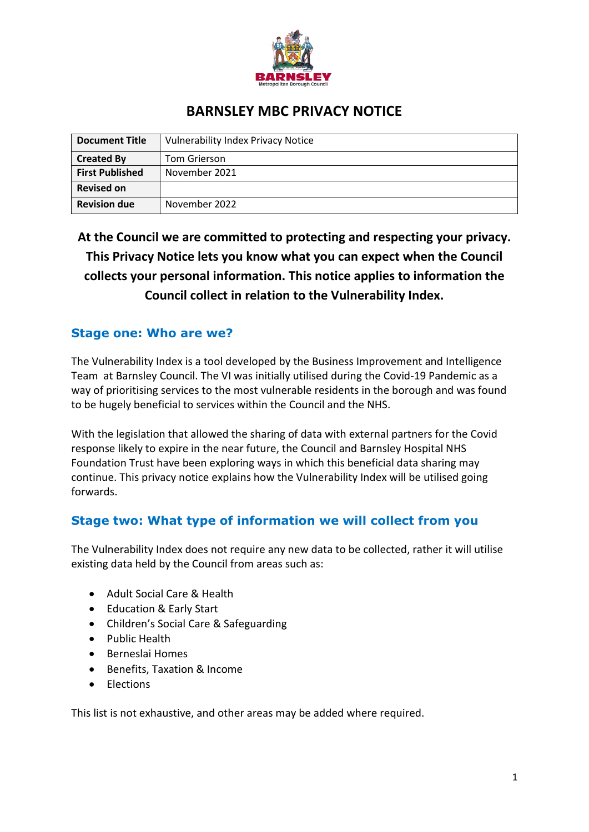

# **BARNSLEY MBC PRIVACY NOTICE**

| <b>Document Title</b>  | <b>Vulnerability Index Privacy Notice</b> |
|------------------------|-------------------------------------------|
| <b>Created By</b>      | Tom Grierson                              |
| <b>First Published</b> | November 2021                             |
| <b>Revised on</b>      |                                           |
| <b>Revision due</b>    | November 2022                             |

**At the Council we are committed to protecting and respecting your privacy. This Privacy Notice lets you know what you can expect when the Council collects your personal information. This notice applies to information the Council collect in relation to the Vulnerability Index.** 

#### **Stage one: Who are we?**

The Vulnerability Index is a tool developed by the Business Improvement and Intelligence Team at Barnsley Council. The VI was initially utilised during the Covid-19 Pandemic as a way of prioritising services to the most vulnerable residents in the borough and was found to be hugely beneficial to services within the Council and the NHS.

With the legislation that allowed the sharing of data with external partners for the Covid response likely to expire in the near future, the Council and Barnsley Hospital NHS Foundation Trust have been exploring ways in which this beneficial data sharing may continue. This privacy notice explains how the Vulnerability Index will be utilised going forwards.

### **Stage two: What type of information we will collect from you**

The Vulnerability Index does not require any new data to be collected, rather it will utilise existing data held by the Council from areas such as:

- Adult Social Care & Health
- Education & Early Start
- Children's Social Care & Safeguarding
- Public Health
- Berneslai Homes
- Benefits, Taxation & Income
- Elections

This list is not exhaustive, and other areas may be added where required.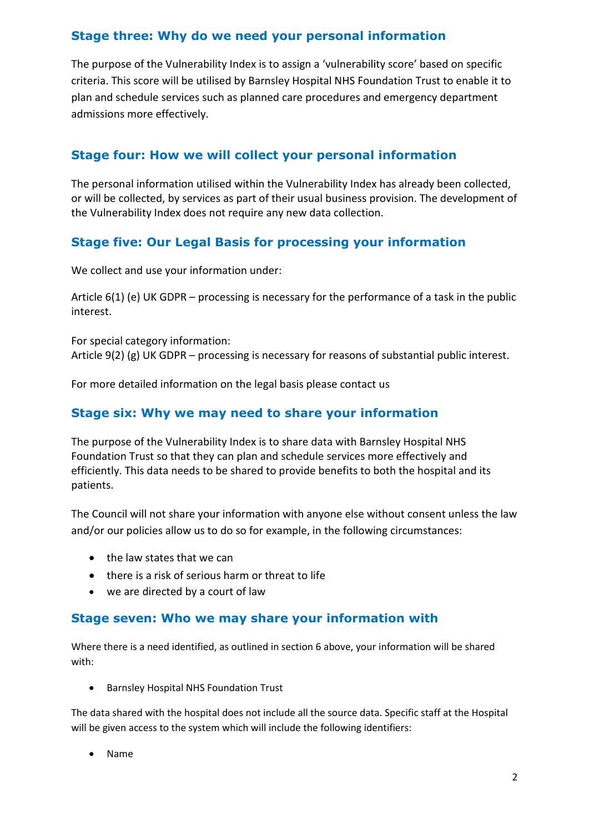## **Stage three: Why do we need your personal information**

The purpose of the Vulnerability Index is to assign a 'vulnerability score' based on specific criteria. This score will be utilised by Barnsley Hospital NHS Foundation Trust to enable it to plan and schedule services such as planned care procedures and emergency department admissions more effectively.

## **Stage four: How we will collect your personal information**

The personal information utilised within the Vulnerability Index has already been collected, or will be collected, by services as part of their usual business provision. The development of the Vulnerability Index does not require any new data collection.

## **Stage five: Our Legal Basis for processing your information**

We collect and use your information under:

Article 6(1) (e) UK GDPR – processing is necessary for the performance of a task in the public interest.

For special category information: Article 9(2) (g) UK GDPR – processing is necessary for reasons of substantial public interest.

For more detailed information on the legal basis please contact us

#### **Stage six: Why we may need to share your information**

The purpose of the Vulnerability Index is to share data with Barnsley Hospital NHS Foundation Trust so that they can plan and schedule services more effectively and efficiently. This data needs to be shared to provide benefits to both the hospital and its patients.

The Council will not share your information with anyone else without consent unless the law and/or our policies allow us to do so for example, in the following circumstances:

- the law states that we can
- there is a risk of serious harm or threat to life
- we are directed by a court of law

#### **Stage seven: Who we may share your information with**

Where there is a need identified, as outlined in section 6 above, your information will be shared with:

• Barnsley Hospital NHS Foundation Trust

The data shared with the hospital does not include all the source data. Specific staff at the Hospital will be given access to the system which will include the following identifiers:

• Name